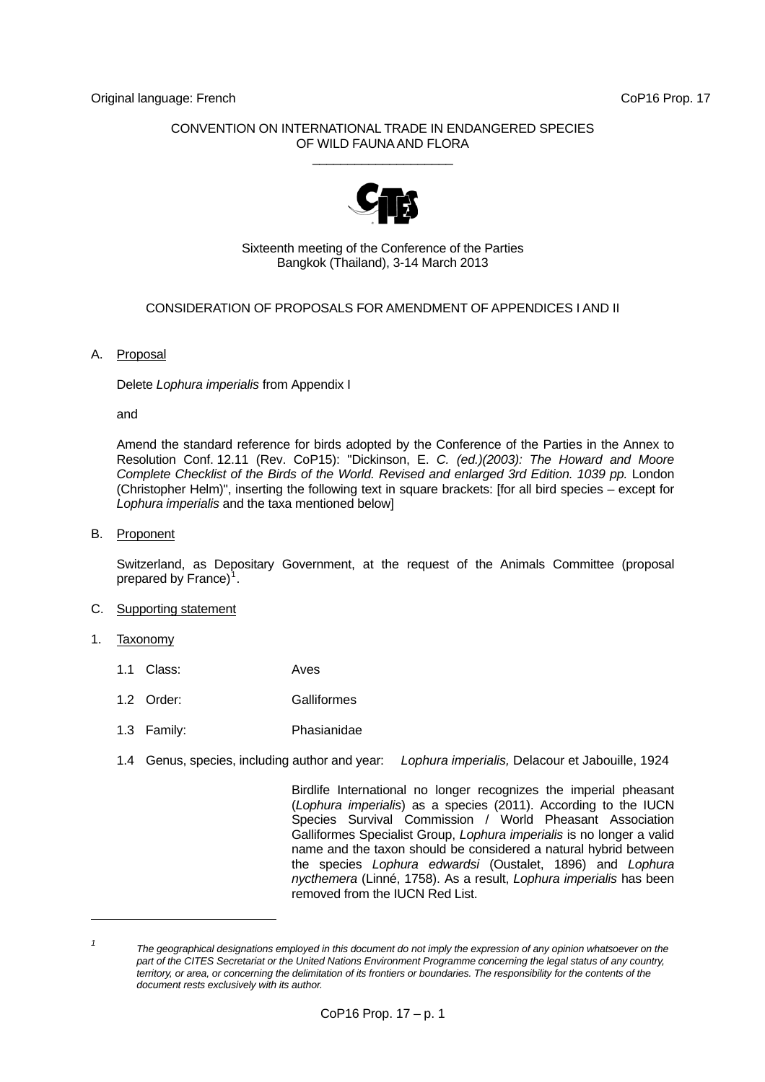# CONVENTION ON INTERNATIONAL TRADE IN ENDANGERED SPECIES OF WILD FAUNA AND FLORA \_\_\_\_\_\_\_\_\_\_\_\_\_\_\_\_\_\_\_\_



## Sixteenth meeting of the Conference of the Parties Bangkok (Thailand), 3-14 March 2013

# CONSIDERATION OF PROPOSALS FOR AMENDMENT OF APPENDICES I AND II

## A. Proposal

Delete *Lophura imperialis* from Appendix I

and

 Amend the standard reference for birds adopted by the Conference of the Parties in the Annex to Resolution Conf. 12.11 (Rev. CoP15): "Dickinson, E. *C. (ed.)(2003): The Howard and Moore Complete Checklist of the Birds of the World. Revised and enlarged 3rd Edition. 1039 pp.* London (Christopher Helm)", inserting the following text in square brackets: [for all bird species – except for *Lophura imperialis* and the taxa mentioned below]

### B. Proponent

 Switzerland, as Depositary Government, at the request of the Animals Committee (proposal prepared by France)<sup>[1](#page-0-0)</sup>.

### C. Supporting statement

1. Taxonomy

l

- 1.1 Class: Aves
- 1.2 Order: Galliformes
- 1.3 Family: Phasianidae
- 1.4 Genus, species, including author and year: *Lophura imperialis,* Delacour et Jabouille, 1924

 Birdlife International no longer recognizes the imperial pheasant (*Lophura imperialis*) as a species (2011). According to the IUCN Species Survival Commission / World Pheasant Association Galliformes Specialist Group, *Lophura imperialis* is no longer a valid name and the taxon should be considered a natural hybrid between the species *Lophura edwardsi* (Oustalet, 1896) and *Lophura nycthemera* (Linné, 1758). As a result, *Lophura imperialis* has been removed from the IUCN Red List.

<span id="page-0-0"></span>*<sup>1</sup> The geographical designations employed in this document do not imply the expression of any opinion whatsoever on the part of the CITES Secretariat or the United Nations Environment Programme concerning the legal status of any country, territory, or area, or concerning the delimitation of its frontiers or boundaries. The responsibility for the contents of the document rests exclusively with its author.*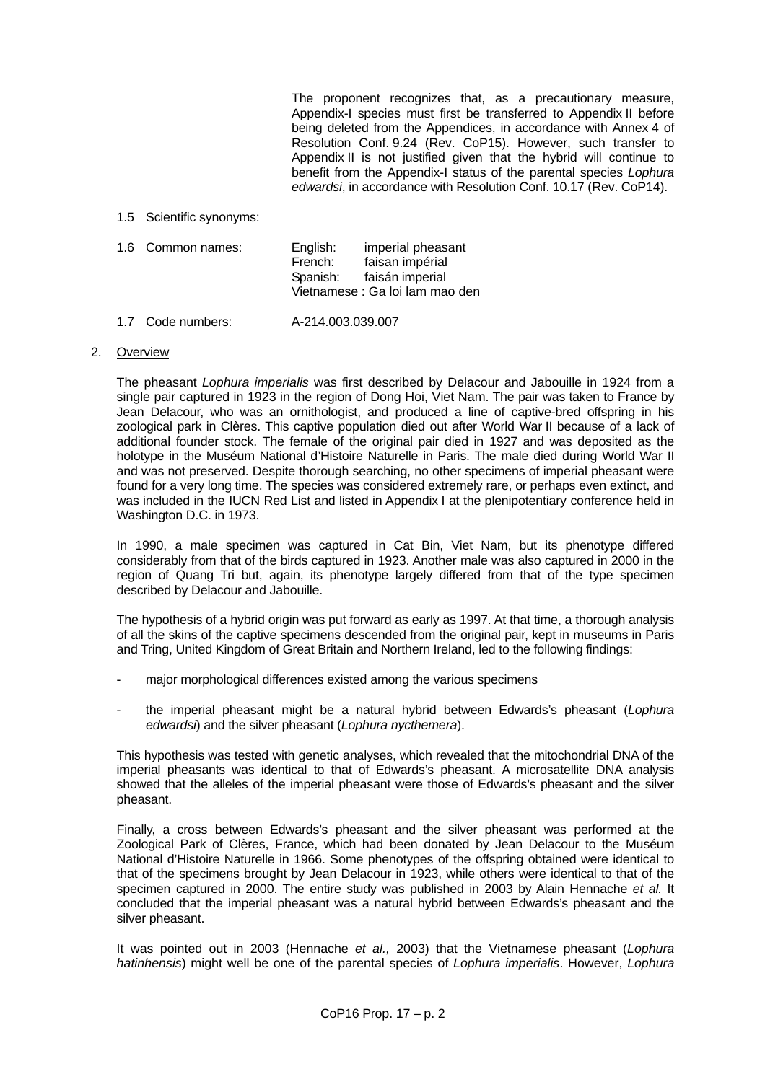The proponent recognizes that, as a precautionary measure, Appendix-I species must first be transferred to Appendix II before being deleted from the Appendices, in accordance with Annex 4 of Resolution Conf. 9.24 (Rev. CoP15). However, such transfer to Appendix II is not justified given that the hybrid will continue to benefit from the Appendix-I status of the parental species *Lophura edwardsi*, in accordance with Resolution Conf. 10.17 (Rev. CoP14).

1.5 Scientific synonyms:

| 1.6 Common names: | English: | imperial pheasant               |  |
|-------------------|----------|---------------------------------|--|
|                   | French:  | faisan impérial                 |  |
|                   | Spanish: | faisán imperial                 |  |
|                   |          | Vietnamese : Ga loi lam mao den |  |

1.7 Code numbers: A-214.003.039.007

### 2. Overview

 The pheasant *Lophura imperialis* was first described by Delacour and Jabouille in 1924 from a single pair captured in 1923 in the region of Dong Hoi, Viet Nam. The pair was taken to France by Jean Delacour, who was an ornithologist, and produced a line of captive-bred offspring in his zoological park in Clères. This captive population died out after World War II because of a lack of additional founder stock. The female of the original pair died in 1927 and was deposited as the holotype in the Muséum National d'Histoire Naturelle in Paris. The male died during World War II and was not preserved. Despite thorough searching, no other specimens of imperial pheasant were found for a very long time. The species was considered extremely rare, or perhaps even extinct, and was included in the IUCN Red List and listed in Appendix I at the plenipotentiary conference held in Washington D.C. in 1973.

 In 1990, a male specimen was captured in Cat Bin, Viet Nam, but its phenotype differed considerably from that of the birds captured in 1923. Another male was also captured in 2000 in the region of Quang Tri but, again, its phenotype largely differed from that of the type specimen described by Delacour and Jabouille.

 The hypothesis of a hybrid origin was put forward as early as 1997. At that time, a thorough analysis of all the skins of the captive specimens descended from the original pair, kept in museums in Paris and Tring, United Kingdom of Great Britain and Northern Ireland, led to the following findings:

- major morphological differences existed among the various specimens
- the imperial pheasant might be a natural hybrid between Edwards's pheasant (*Lophura edwardsi*) and the silver pheasant (*Lophura nycthemera*).

 This hypothesis was tested with genetic analyses, which revealed that the mitochondrial DNA of the imperial pheasants was identical to that of Edwards's pheasant. A microsatellite DNA analysis showed that the alleles of the imperial pheasant were those of Edwards's pheasant and the silver pheasant.

 Finally, a cross between Edwards's pheasant and the silver pheasant was performed at the Zoological Park of Clères, France, which had been donated by Jean Delacour to the Muséum National d'Histoire Naturelle in 1966. Some phenotypes of the offspring obtained were identical to that of the specimens brought by Jean Delacour in 1923, while others were identical to that of the specimen captured in 2000. The entire study was published in 2003 by Alain Hennache *et al.* It concluded that the imperial pheasant was a natural hybrid between Edwards's pheasant and the silver pheasant.

 It was pointed out in 2003 (Hennache *et al.,* 2003) that the Vietnamese pheasant (*Lophura hatinhensis*) might well be one of the parental species of *Lophura imperialis*. However, *Lophura*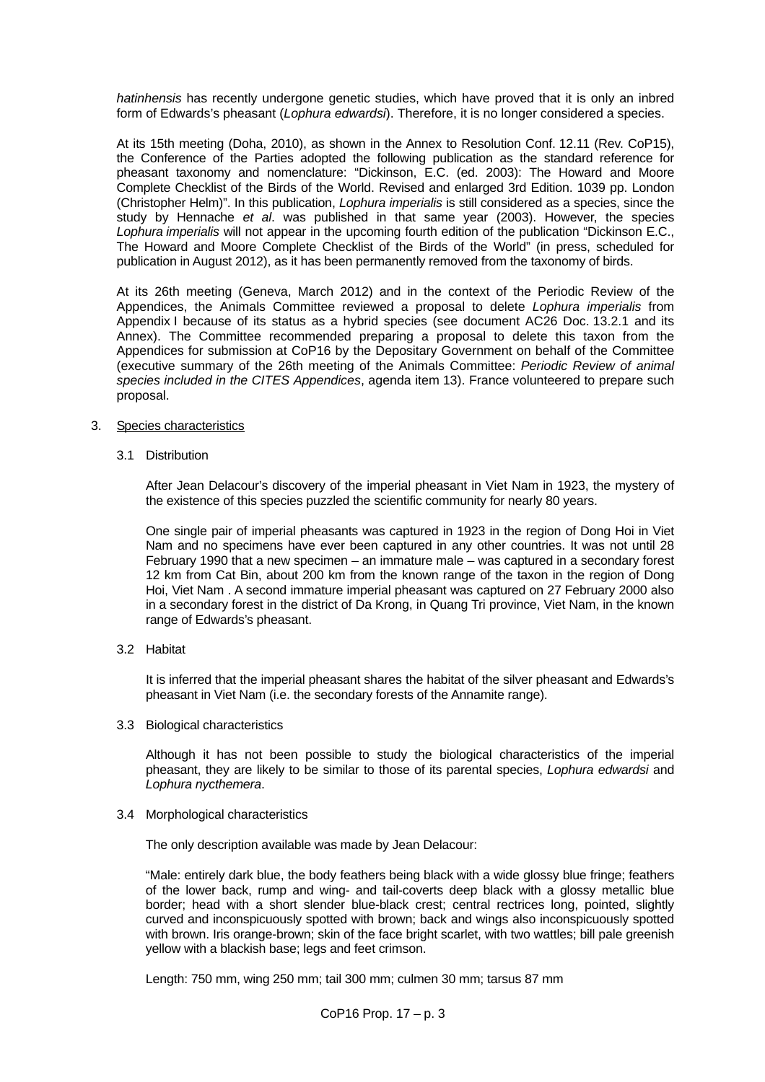*hatinhensis* has recently undergone genetic studies, which have proved that it is only an inbred form of Edwards's pheasant (*Lophura edwardsi*). Therefore, it is no longer considered a species.

 At its 15th meeting (Doha, 2010), as shown in the Annex to Resolution Conf. 12.11 (Rev. CoP15), the Conference of the Parties adopted the following publication as the standard reference for pheasant taxonomy and nomenclature: "Dickinson, E.C. (ed. 2003): The Howard and Moore Complete Checklist of the Birds of the World. Revised and enlarged 3rd Edition. 1039 pp. London (Christopher Helm)". In this publication, *Lophura imperialis* is still considered as a species, since the study by Hennache *et al*. was published in that same year (2003). However, the species *Lophura imperialis* will not appear in the upcoming fourth edition of the publication "Dickinson E.C., The Howard and Moore Complete Checklist of the Birds of the World" (in press, scheduled for publication in August 2012), as it has been permanently removed from the taxonomy of birds.

 At its 26th meeting (Geneva, March 2012) and in the context of the Periodic Review of the Appendices, the Animals Committee reviewed a proposal to delete *Lophura imperialis* from Appendix I because of its status as a hybrid species (see document AC26 Doc. 13.2.1 and its Annex). The Committee recommended preparing a proposal to delete this taxon from the Appendices for submission at CoP16 by the Depositary Government on behalf of the Committee (executive summary of the 26th meeting of the Animals Committee: *Periodic Review of animal species included in the CITES Appendices*, agenda item 13). France volunteered to prepare such proposal.

### 3. Species characteristics

3.1 Distribution

 After Jean Delacour's discovery of the imperial pheasant in Viet Nam in 1923, the mystery of the existence of this species puzzled the scientific community for nearly 80 years.

 One single pair of imperial pheasants was captured in 1923 in the region of Dong Hoi in Viet Nam and no specimens have ever been captured in any other countries. It was not until 28 February 1990 that a new specimen – an immature male – was captured in a secondary forest 12 km from Cat Bin, about 200 km from the known range of the taxon in the region of Dong Hoi, Viet Nam . A second immature imperial pheasant was captured on 27 February 2000 also in a secondary forest in the district of Da Krong, in Quang Tri province, Viet Nam, in the known range of Edwards's pheasant.

3.2 Habitat

 It is inferred that the imperial pheasant shares the habitat of the silver pheasant and Edwards's pheasant in Viet Nam (i.e. the secondary forests of the Annamite range).

3.3 Biological characteristics

 Although it has not been possible to study the biological characteristics of the imperial pheasant, they are likely to be similar to those of its parental species, *Lophura edwardsi* and *Lophura nycthemera*.

3.4 Morphological characteristics

The only description available was made by Jean Delacour:

 "Male: entirely dark blue, the body feathers being black with a wide glossy blue fringe; feathers of the lower back, rump and wing- and tail-coverts deep black with a glossy metallic blue border; head with a short slender blue-black crest; central rectrices long, pointed, slightly curved and inconspicuously spotted with brown; back and wings also inconspicuously spotted with brown. Iris orange-brown; skin of the face bright scarlet, with two wattles; bill pale greenish yellow with a blackish base; legs and feet crimson.

Length: 750 mm, wing 250 mm; tail 300 mm; culmen 30 mm; tarsus 87 mm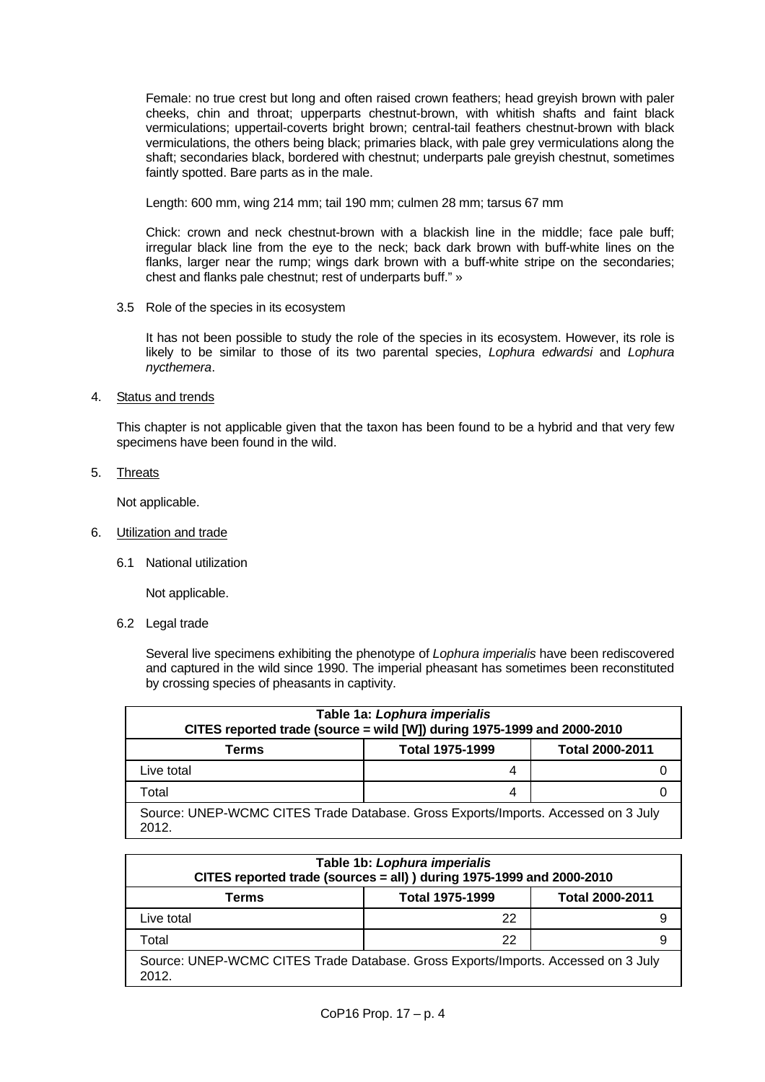Female: no true crest but long and often raised crown feathers; head greyish brown with paler cheeks, chin and throat; upperparts chestnut-brown, with whitish shafts and faint black vermiculations; uppertail-coverts bright brown; central-tail feathers chestnut-brown with black vermiculations, the others being black; primaries black, with pale grey vermiculations along the shaft; secondaries black, bordered with chestnut; underparts pale greyish chestnut, sometimes faintly spotted. Bare parts as in the male.

Length: 600 mm, wing 214 mm; tail 190 mm; culmen 28 mm; tarsus 67 mm

 Chick: crown and neck chestnut-brown with a blackish line in the middle; face pale buff; irregular black line from the eye to the neck; back dark brown with buff-white lines on the flanks, larger near the rump; wings dark brown with a buff-white stripe on the secondaries; chest and flanks pale chestnut; rest of underparts buff." »

3.5 Role of the species in its ecosystem

 It has not been possible to study the role of the species in its ecosystem. However, its role is likely to be similar to those of its two parental species, *Lophura edwardsi* and *Lophura nycthemera*.

4. Status and trends

 This chapter is not applicable given that the taxon has been found to be a hybrid and that very few specimens have been found in the wild.

5. Threats

Not applicable.

- 6. Utilization and trade
	- 6.1 National utilization

Not applicable.

6.2 Legal trade

 Several live specimens exhibiting the phenotype of *Lophura imperialis* have been rediscovered and captured in the wild since 1990. The imperial pheasant has sometimes been reconstituted by crossing species of pheasants in captivity.

| Table 1a: Lophura imperialis<br>CITES reported trade (source = wild [W]) during 1975-1999 and 2000-2010 |                        |                        |  |  |  |
|---------------------------------------------------------------------------------------------------------|------------------------|------------------------|--|--|--|
|                                                                                                         |                        |                        |  |  |  |
| Terms                                                                                                   | <b>Total 1975-1999</b> | <b>Total 2000-2011</b> |  |  |  |
| Live total                                                                                              | 4                      |                        |  |  |  |
| Total                                                                                                   | 4                      |                        |  |  |  |
| Source: UNEP-WCMC CITES Trade Database. Gross Exports/Imports. Accessed on 3 July<br>2012.              |                        |                        |  |  |  |

| Table 1b: Lophura imperialis<br>CITES reported trade (sources = all)) during 1975-1999 and 2000-2010 |                        |                        |  |  |
|------------------------------------------------------------------------------------------------------|------------------------|------------------------|--|--|
| Terms                                                                                                | <b>Total 1975-1999</b> | <b>Total 2000-2011</b> |  |  |
| Live total                                                                                           | 22                     |                        |  |  |
| Total                                                                                                | 22                     |                        |  |  |
| Source: UNEP-WCMC CITES Trade Database. Gross Exports/Imports. Accessed on 3 July<br>2012.           |                        |                        |  |  |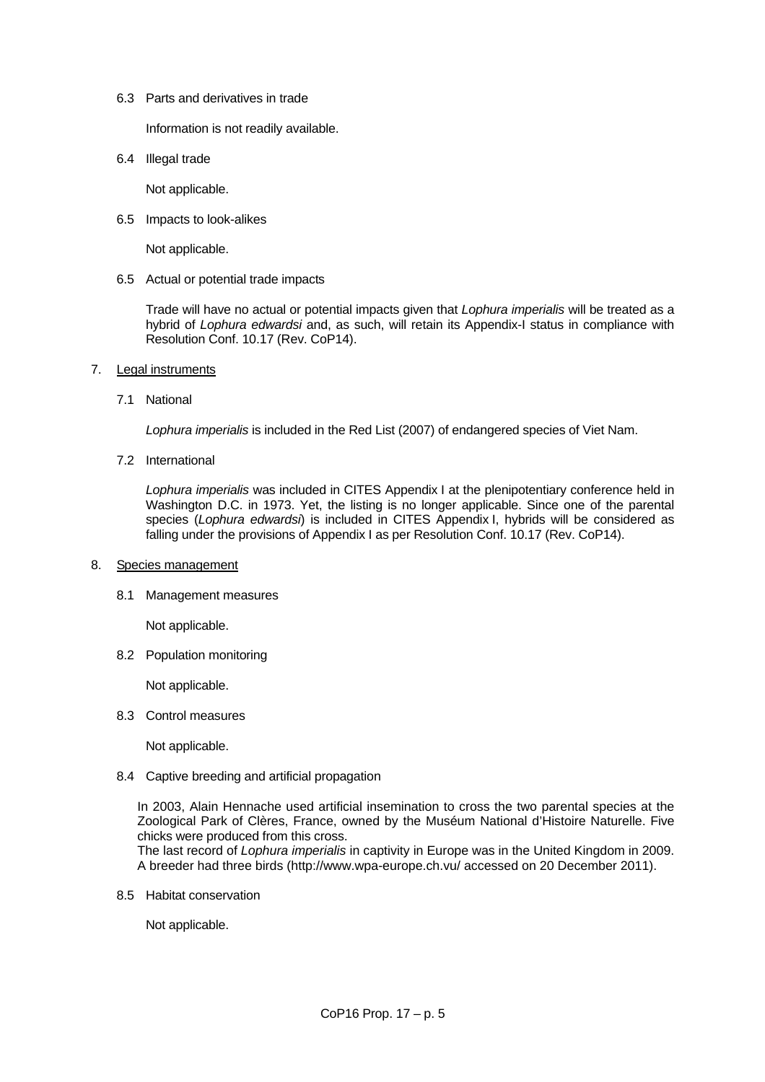6.3 Parts and derivatives in trade

Information is not readily available.

6.4 Illegal trade

Not applicable.

6.5 Impacts to look-alikes

Not applicable.

6.5 Actual or potential trade impacts

 Trade will have no actual or potential impacts given that *Lophura imperialis* will be treated as a hybrid of *Lophura edwardsi* and, as such, will retain its Appendix-I status in compliance with Resolution Conf. 10.17 (Rev. CoP14).

- 7. Legal instruments
	- 7.1 National

*Lophura imperialis* is included in the Red List (2007) of endangered species of Viet Nam.

7.2 International

 *Lophura imperialis* was included in CITES Appendix I at the plenipotentiary conference held in Washington D.C. in 1973. Yet, the listing is no longer applicable. Since one of the parental species (*Lophura edwardsi*) is included in CITES Appendix I, hybrids will be considered as falling under the provisions of Appendix I as per Resolution Conf. 10.17 (Rev. CoP14).

#### 8. Species management

8.1 Management measures

Not applicable.

8.2 Population monitoring

Not applicable.

8.3 Control measures

Not applicable.

8.4 Captive breeding and artificial propagation

In 2003, Alain Hennache used artificial insemination to cross the two parental species at the Zoological Park of Clères, France, owned by the Muséum National d'Histoire Naturelle. Five chicks were produced from this cross.

The last record of *Lophura imperialis* in captivity in Europe was in the United Kingdom in 2009. A breeder had three birds (http://www.wpa-europe.ch.vu/ accessed on 20 December 2011).

8.5 Habitat conservation

Not applicable.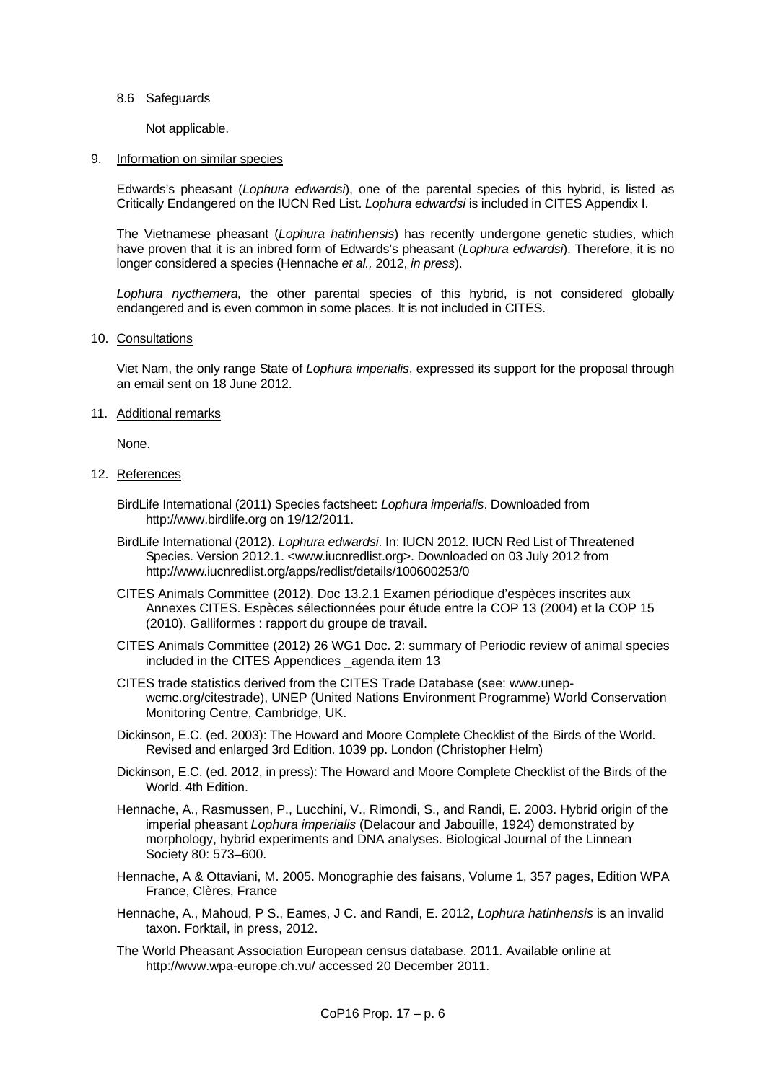#### 8.6 Safeguards

Not applicable.

#### 9. Information on similar species

 Edwards's pheasant (*Lophura edwardsi*), one of the parental species of this hybrid, is listed as Critically Endangered on the IUCN Red List. *Lophura edwardsi* is included in CITES Appendix I.

 The Vietnamese pheasant (*Lophura hatinhensis*) has recently undergone genetic studies, which have proven that it is an inbred form of Edwards's pheasant (*Lophura edwardsi*). Therefore, it is no longer considered a species (Hennache *et al.,* 2012, *in press*).

*Lophura nycthemera,* the other parental species of this hybrid, is not considered globally endangered and is even common in some places. It is not included in CITES.

#### 10. Consultations

 Viet Nam, the only range State of *Lophura imperialis*, expressed its support for the proposal through an email sent on 18 June 2012.

## 11. Additional remarks

None.

# 12. References

- BirdLife International (2011) Species factsheet: *Lophura imperialis*. Downloaded from http://www.birdlife.org on 19/12/2011.
- BirdLife International (2012). *Lophura edwardsi*. In: IUCN 2012. IUCN Red List of Threatened Species. Version 2012.1. <[www.iucnredlist.org>](http://www.iucnredlist.org/). Downloaded on 03 July 2012 from http://www.iucnredlist.org/apps/redlist/details/100600253/0
- CITES Animals Committee (2012). Doc 13.2.1 Examen périodique d'espèces inscrites aux Annexes CITES. Espèces sélectionnées pour étude entre la COP 13 (2004) et la COP 15 (2010). Galliformes : rapport du groupe de travail.
- CITES Animals Committee (2012) 26 WG1 Doc. 2: summary of Periodic review of animal species included in the CITES Appendices \_agenda item 13
- CITES trade statistics derived from the CITES Trade Database (see: www.unepwcmc.org/citestrade), UNEP (United Nations Environment Programme) World Conservation Monitoring Centre, Cambridge, UK.
- Dickinson, E.C. (ed. 2003): The Howard and Moore Complete Checklist of the Birds of the World. Revised and enlarged 3rd Edition. 1039 pp. London (Christopher Helm)
- Dickinson, E.C. (ed. 2012, in press): The Howard and Moore Complete Checklist of the Birds of the World. 4th Edition.
- Hennache, A., Rasmussen, P., Lucchini, V., Rimondi, S., and Randi, E. 2003. Hybrid origin of the imperial pheasant *Lophura imperialis* (Delacour and Jabouille, 1924) demonstrated by morphology, hybrid experiments and DNA analyses. Biological Journal of the Linnean Society 80: 573–600.
- Hennache, A & Ottaviani, M. 2005. Monographie des faisans, Volume 1, 357 pages, Edition WPA France, Clères, France
- Hennache, A., Mahoud, P S., Eames, J C. and Randi, E. 2012, *Lophura hatinhensis* is an invalid taxon. Forktail, in press, 2012.
- The World Pheasant Association European census database. 2011. Available online at http://www.wpa-europe.ch.vu/ accessed 20 December 2011.